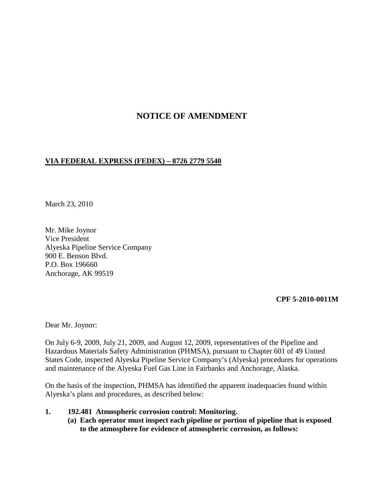## **NOTICE OF AMENDMENT**

## **VIA FEDERAL EXPRESS (FEDEX) – 8726 2779 5540**

March 23, 2010

Mr. Mike Joynor Vice President Alyeska Pipeline Service Company 900 E. Benson Blvd. P.O. Box 196660 Anchorage, AK 99519

**CPF 5-2010-0011M**

Dear Mr. Joynor:

On July 6-9, 2009, July 21, 2009, and August 12, 2009, representatives of the Pipeline and Hazardous Materials Safety Administration (PHMSA), pursuant to Chapter 601 of 49 United States Code, inspected Alyeska Pipeline Service Company's (Alyeska) procedures for operations and maintenance of the Alyeska Fuel Gas Line in Fairbanks and Anchorage, Alaska.

On the basis of the inspection, PHMSA has identified the apparent inadequacies found within Alyeska's plans and procedures, as described below:

- **1. 192.481 Atmospheric corrosion control: Monitoring.**
	- **(a) Each operator must inspect each pipeline or portion of pipeline that is exposed to the atmosphere for evidence of atmospheric corrosion, as follows:**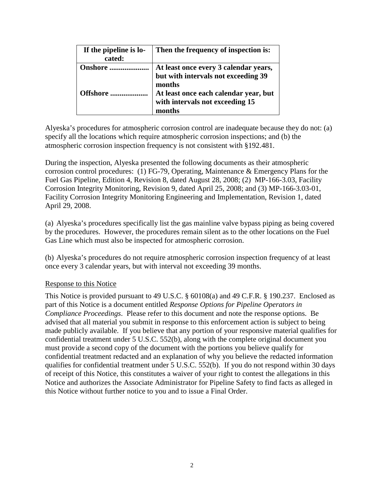| If the pipeline is lo-      | Then the frequency of inspection is:                                         |
|-----------------------------|------------------------------------------------------------------------------|
| $\overline{\text{cated}}$ : |                                                                              |
| Onshore                     | At least once every 3 calendar years,<br>but with intervals not exceeding 39 |
|                             |                                                                              |
|                             | months                                                                       |
| Offshore                    | At least once each calendar year, but<br>with intervals not exceeding 15     |
|                             |                                                                              |
|                             | months                                                                       |

Alyeska's procedures for atmospheric corrosion control are inadequate because they do not: (a) specify all the locations which require atmospheric corrosion inspections; and (b) the atmospheric corrosion inspection frequency is not consistent with §192.481.

During the inspection, Alyeska presented the following documents as their atmospheric corrosion control procedures: (1) FG-79, Operating, Maintenance & Emergency Plans for the Fuel Gas Pipeline, Edition 4, Revision 8, dated August 28, 2008; (2) MP-166-3.03, Facility Corrosion Integrity Monitoring, Revision 9, dated April 25, 2008; and (3) MP-166-3.03-01, Facility Corrosion Integrity Monitoring Engineering and Implementation, Revision 1, dated April 29, 2008.

(a) Alyeska's procedures specifically list the gas mainline valve bypass piping as being covered by the procedures. However, the procedures remain silent as to the other locations on the Fuel Gas Line which must also be inspected for atmospheric corrosion.

(b) Alyeska's procedures do not require atmospheric corrosion inspection frequency of at least once every 3 calendar years, but with interval not exceeding 39 months.

## Response to this Notice

This Notice is provided pursuant to 49 U.S.C. § 60108(a) and 49 C.F.R. § 190.237. Enclosed as part of this Notice is a document entitled *Response Options for Pipeline Operators in Compliance Proceedings*. Please refer to this document and note the response options. Be advised that all material you submit in response to this enforcement action is subject to being made publicly available. If you believe that any portion of your responsive material qualifies for confidential treatment under 5 U.S.C. 552(b), along with the complete original document you must provide a second copy of the document with the portions you believe qualify for confidential treatment redacted and an explanation of why you believe the redacted information qualifies for confidential treatment under 5 U.S.C. 552(b). If you do not respond within 30 days of receipt of this Notice, this constitutes a waiver of your right to contest the allegations in this Notice and authorizes the Associate Administrator for Pipeline Safety to find facts as alleged in this Notice without further notice to you and to issue a Final Order.